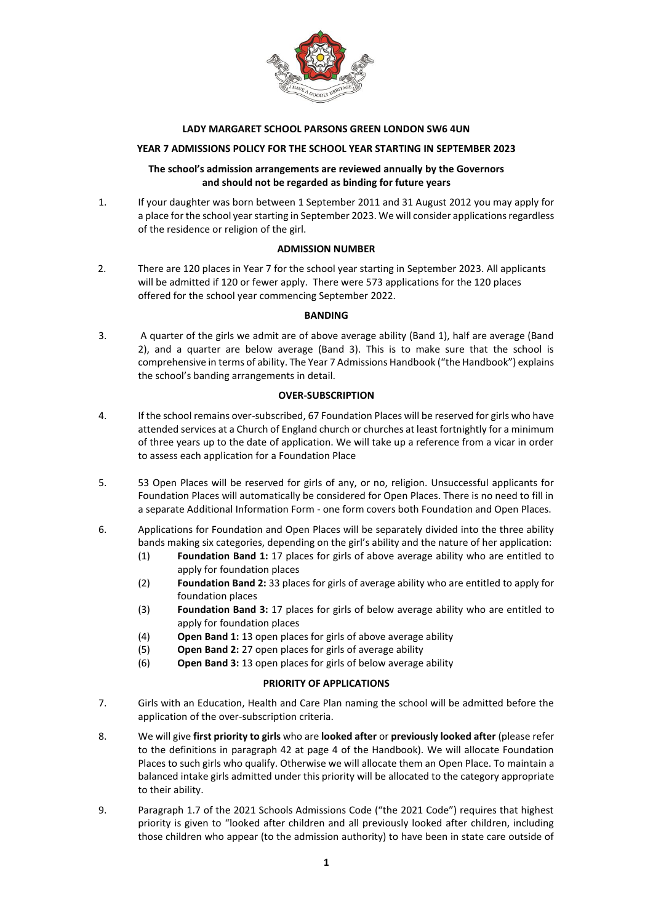

#### **LADY MARGARET SCHOOL PARSONS GREEN LONDON SW6 4UN**

## **YEAR 7 ADMISSIONS POLICY FOR THE SCHOOL YEAR STARTING IN SEPTEMBER 2023**

#### **The school's admission arrangements are reviewed annually by the Governors and should not be regarded as binding for future years**

1. If your daughter was born between 1 September 2011 and 31 August 2012 you may apply for a place for the school year starting in September 2023. We will consider applications regardless of the residence or religion of the girl.

#### **ADMISSION NUMBER**

2. There are 120 places in Year 7 for the school year starting in September 2023. All applicants will be admitted if 120 or fewer apply. There were 573 applications for the 120 places offered for the school year commencing September 2022.

#### **BANDING**

3. A quarter of the girls we admit are of above average ability (Band 1), half are average (Band 2), and a quarter are below average (Band 3). This is to make sure that the school is comprehensive in terms of ability. The Year 7 Admissions Handbook ("the Handbook") explains the school's banding arrangements in detail.

#### **OVER-SUBSCRIPTION**

- 4. If the school remains over-subscribed, 67 Foundation Places will be reserved for girls who have attended services at a Church of England church or churches at least fortnightly for a minimum of three years up to the date of application. We will take up a reference from a vicar in order to assess each application for a Foundation Place
- 5. 53 Open Places will be reserved for girls of any, or no, religion. Unsuccessful applicants for Foundation Places will automatically be considered for Open Places. There is no need to fill in a separate Additional Information Form - one form covers both Foundation and Open Places.
- 6. Applications for Foundation and Open Places will be separately divided into the three ability bands making six categories, depending on the girl's ability and the nature of her application:
	- (1) **Foundation Band 1:** 17 places for girls of above average ability who are entitled to apply for foundation places
	- (2) **Foundation Band 2:** 33 places for girls of average ability who are entitled to apply for foundation places
	- (3) **Foundation Band 3:** 17 places for girls of below average ability who are entitled to apply for foundation places
	- (4) **Open Band 1:** 13 open places for girls of above average ability
	- (5) **Open Band 2:** 27 open places for girls of average ability
	- (6) **Open Band 3:** 13 open places for girls of below average ability

#### **PRIORITY OF APPLICATIONS**

- 7. Girls with an Education, Health and Care Plan naming the school will be admitted before the application of the over-subscription criteria.
- 8. We will give **first priority to girls** who are **looked after** or **previously looked after** (please refer to the definitions in paragraph 42 at page 4 of the Handbook). We will allocate Foundation Places to such girls who qualify. Otherwise we will allocate them an Open Place. To maintain a balanced intake girls admitted under this priority will be allocated to the category appropriate to their ability.
- 9. Paragraph 1.7 of the 2021 Schools Admissions Code ("the 2021 Code") requires that highest priority is given to "looked after children and all previously looked after children, including those children who appear (to the admission authority) to have been in state care outside of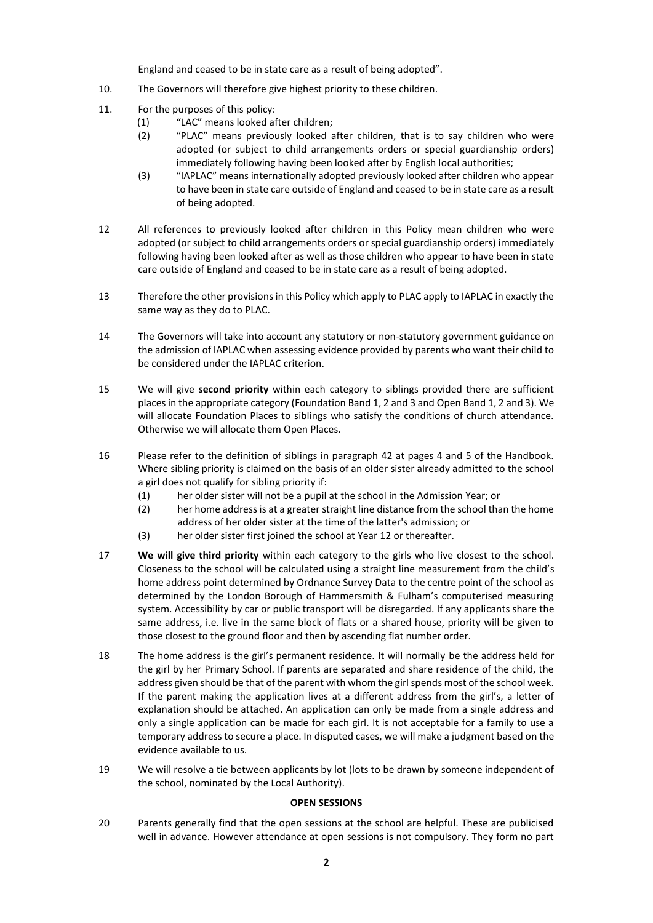England and ceased to be in state care as a result of being adopted".

- 10. The Governors will therefore give highest priority to these children.
- 11. For the purposes of this policy:
	- (1) "LAC" means looked after children;
	- (2) "PLAC" means previously looked after children, that is to say children who were adopted (or subject to child arrangements orders or special guardianship orders) immediately following having been looked after by English local authorities;
	- (3) "IAPLAC" means internationally adopted previously looked after children who appear to have been in state care outside of England and ceased to be in state care as a result of being adopted.
- 12 All references to previously looked after children in this Policy mean children who were adopted (or subject to child arrangements orders or special guardianship orders) immediately following having been looked after as well as those children who appear to have been in state care outside of England and ceased to be in state care as a result of being adopted.
- 13 Therefore the other provisions in this Policy which apply to PLAC apply to IAPLAC in exactly the same way as they do to PLAC.
- 14 The Governors will take into account any statutory or non-statutory government guidance on the admission of IAPLAC when assessing evidence provided by parents who want their child to be considered under the IAPLAC criterion.
- 15 We will give **second priority** within each category to siblings provided there are sufficient places in the appropriate category (Foundation Band 1, 2 and 3 and Open Band 1, 2 and 3). We will allocate Foundation Places to siblings who satisfy the conditions of church attendance. Otherwise we will allocate them Open Places.
- 16 Please refer to the definition of siblings in paragraph 42 at pages 4 and 5 of the Handbook. Where sibling priority is claimed on the basis of an older sister already admitted to the school a girl does not qualify for sibling priority if:
	- (1) her older sister will not be a pupil at the school in the Admission Year; or
	- (2) her home address is at a greater straight line distance from the school than the home address of her older sister at the time of the latter's admission; or
	- (3) her older sister first joined the school at Year 12 or thereafter.
- 17 **We will give third priority** within each category to the girls who live closest to the school. Closeness to the school will be calculated using a straight line measurement from the child's home address point determined by Ordnance Survey Data to the centre point of the school as determined by the London Borough of Hammersmith & Fulham's computerised measuring system. Accessibility by car or public transport will be disregarded. If any applicants share the same address, i.e. live in the same block of flats or a shared house, priority will be given to those closest to the ground floor and then by ascending flat number order.
- 18 The home address is the girl's permanent residence. It will normally be the address held for the girl by her Primary School. If parents are separated and share residence of the child, the address given should be that of the parent with whom the girl spends most of the school week. If the parent making the application lives at a different address from the girl's, a letter of explanation should be attached. An application can only be made from a single address and only a single application can be made for each girl. It is not acceptable for a family to use a temporary address to secure a place. In disputed cases, we will make a judgment based on the evidence available to us.
- 19 We will resolve a tie between applicants by lot (lots to be drawn by someone independent of the school, nominated by the Local Authority).

#### **OPEN SESSIONS**

20 Parents generally find that the open sessions at the school are helpful. These are publicised well in advance. However attendance at open sessions is not compulsory. They form no part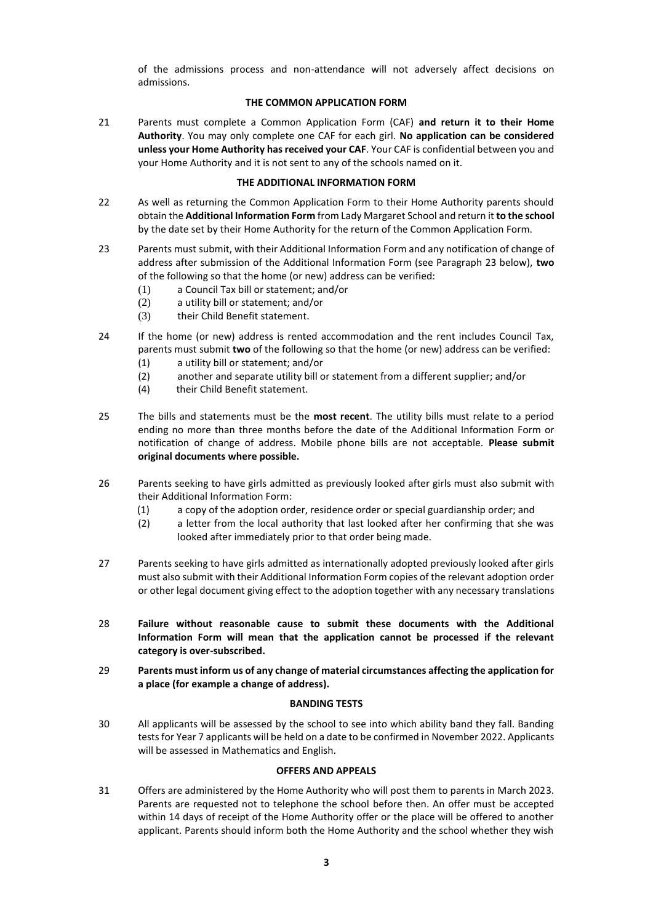of the admissions process and non-attendance will not adversely affect decisions on admissions.

### **THE COMMON APPLICATION FORM**

21 Parents must complete a Common Application Form (CAF) **and return it to their Home Authority**. You may only complete one CAF for each girl*.* **No application can be considered unless your Home Authority has received your CAF**. Your CAF is confidential between you and your Home Authority and it is not sent to any of the schools named on it.

### **THE ADDITIONAL INFORMATION FORM**

- 22 As well as returning the Common Application Form to their Home Authority parents should obtain the **Additional Information Form** from Lady Margaret School and return it **to the school** by the date set by their Home Authority for the return of the Common Application Form.
- 23 Parents must submit, with their Additional Information Form and any notification of change of address after submission of the Additional Information Form (see Paragraph 23 below), **two** of the following so that the home (or new) address can be verified:
	- (1) a Council Tax bill or statement; and/or
	- (2) a utility bill or statement; and/or
	- (3) their Child Benefit statement.
- 24 If the home (or new) address is rented accommodation and the rent includes Council Tax, parents must submit **two** of the following so that the home (or new) address can be verified:
	- (1) a utility bill or statement; and/or
	- (2) another and separate utility bill or statement from a different supplier; and/or
	- (4) their Child Benefit statement.
- 25 The bills and statements must be the **most recent**. The utility bills must relate to a period ending no more than three months before the date of the Additional Information Form or notification of change of address. Mobile phone bills are not acceptable. **Please submit original documents where possible.**
- 26 Parents seeking to have girls admitted as previously looked after girls must also submit with their Additional Information Form:
	- (1) a copy of the adoption order, residence order or special guardianship order; and
	- (2) a letter from the local authority that last looked after her confirming that she was looked after immediately prior to that order being made.
- 27 Parents seeking to have girls admitted as internationally adopted previously looked after girls must also submit with their Additional Information Form copies of the relevant adoption order or other legal document giving effect to the adoption together with any necessary translations
- 28 **Failure without reasonable cause to submit these documents with the Additional Information Form will mean that the application cannot be processed if the relevant category is over-subscribed.**
- 29 **Parents must inform us of any change of material circumstances affecting the application for a place (for example a change of address).**

#### **BANDING TESTS**

30 All applicants will be assessed by the school to see into which ability band they fall. Banding tests for Year 7 applicants will be held on a date to be confirmed in November 2022. Applicants will be assessed in Mathematics and English.

# **OFFERS AND APPEALS**

31 Offers are administered by the Home Authority who will post them to parents in March 2023. Parents are requested not to telephone the school before then. An offer must be accepted within 14 days of receipt of the Home Authority offer or the place will be offered to another applicant. Parents should inform both the Home Authority and the school whether they wish